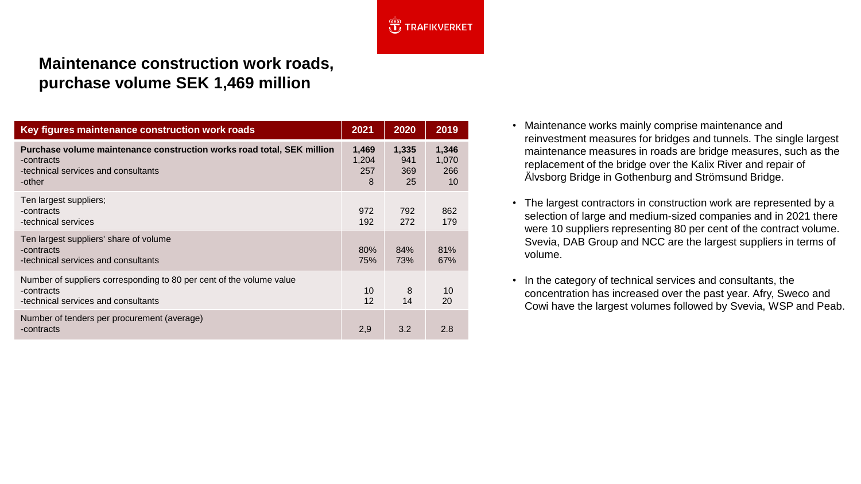

## **Maintenance construction work roads, purchase volume SEK 1,469 million**

| Key figures maintenance construction work roads                                                                                       | 2021                       | 2020                      | 2019                        |
|---------------------------------------------------------------------------------------------------------------------------------------|----------------------------|---------------------------|-----------------------------|
| Purchase volume maintenance construction works road total, SEK million<br>-contracts<br>-technical services and consultants<br>-other | 1,469<br>1,204<br>257<br>8 | 1,335<br>941<br>369<br>25 | 1,346<br>1,070<br>266<br>10 |
| Ten largest suppliers;<br>-contracts<br>-technical services                                                                           | 972<br>192                 | 792<br>272                | 862<br>179                  |
| Ten largest suppliers' share of volume<br>-contracts<br>-technical services and consultants                                           | 80%<br>75%                 | 84%<br>73%                | 81%<br>67%                  |
| Number of suppliers corresponding to 80 per cent of the volume value<br>-contracts<br>-technical services and consultants             | 10<br>12                   | 8<br>14                   | 10<br>20                    |
| Number of tenders per procurement (average)<br>-contracts                                                                             | 2,9                        | 3.2                       | 2.8                         |

- Maintenance works mainly comprise maintenance and reinvestment measures for bridges and tunnels. The single largest maintenance measures in roads are bridge measures, such as the replacement of the bridge over the Kalix River and repair of Älvsborg Bridge in Gothenburg and Strömsund Bridge.
- The largest contractors in construction work are represented by a selection of large and medium-sized companies and in 2021 there were 10 suppliers representing 80 per cent of the contract volume. Svevia, DAB Group and NCC are the largest suppliers in terms of volume.
- In the category of technical services and consultants, the concentration has increased over the past year. Afry, Sweco and Cowi have the largest volumes followed by Svevia, WSP and Peab.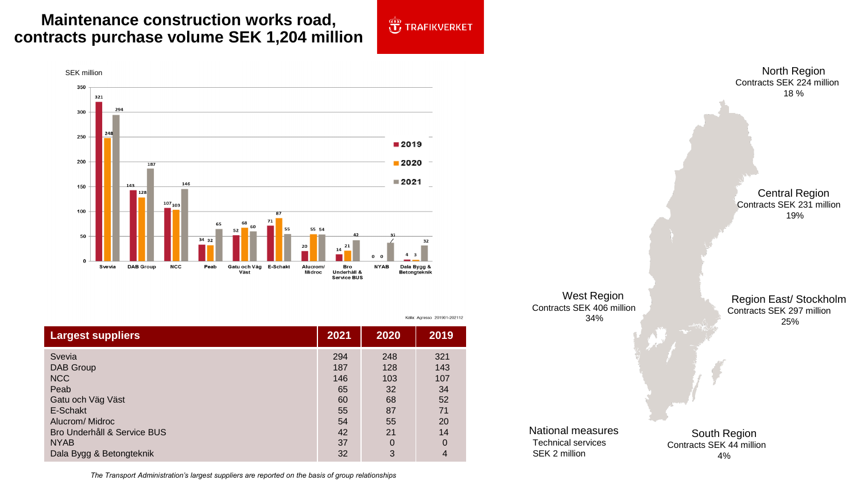## **Maintenance construction works road, contracts purchase volume SEK 1,204 million**



Källa: Agresso 201901-202112



| <b>Largest suppliers</b>    | 2021 | 2020 | 2019        |
|-----------------------------|------|------|-------------|
| Svevia                      | 294  | 248  | 321         |
| DAB Group                   | 187  | 128  | 143         |
| <b>NCC</b>                  | 146  | 103  | 107         |
| Peab                        | 65   | 32   | 34          |
| Gatu och Väg Väst           | 60   | 68   | 52          |
| E-Schakt                    | 55   | 87   | 71          |
| Alucrom/Midroc              | 54   | 55   | 20          |
| Bro Underhåll & Service BUS | 42   | 21   | 14          |
| <b>NYAB</b>                 | 37   | 0    | $\mathbf 0$ |
| Dala Bygg & Betongteknik    | 32   | 3    | 4           |

North Region Contracts SEK 224 million 18 % Central Region Contracts SEK 231 million 19% West Region Contracts SEK 406 million 34% South Region Contracts SEK 44 million 4% Region East/ Stockholm Contracts SEK 297 million 25% National measures Technical services SEK 2 million

*The Transport Administration's largest suppliers are reported on the basis of group relationships*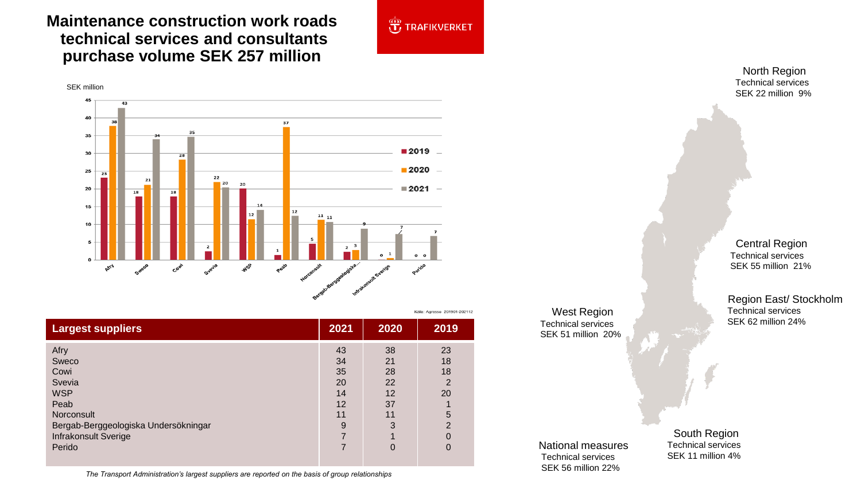## **Maintenance construction work roads technical services and consultants purchase volume SEK 257 million**

SEK million



Källa: Agresso 201901-202112

45 43 40 37 35 35  $2019$ 30  $2020 -$ 25  $\overline{23}$ 22  $21$ 20 20  $\blacksquare$  2021  $\blacksquare$ 20 18 15  $12$  $11_{11}$  $10\,$ AFFA Perido Syevia **WSP** Sweco Cow

| <b>Largest suppliers</b>                                                                                                                             | 2021                                             | 2020                                             | 2019                                                                                  |
|------------------------------------------------------------------------------------------------------------------------------------------------------|--------------------------------------------------|--------------------------------------------------|---------------------------------------------------------------------------------------|
| Afry<br>Sweco<br>Cowi<br>Svevia<br><b>WSP</b><br>Peab<br>Norconsult<br>Bergab-Berggeologiska Undersökningar<br><b>Infrakonsult Sverige</b><br>Perido | 43<br>34<br>35<br>20<br>14<br>12<br>11<br>9<br>7 | 38<br>21<br>28<br>22<br>12<br>37<br>11<br>3<br>0 | 23<br>18<br>18<br>$\overline{2}$<br>20<br>5<br>$\overline{2}$<br>$\Omega$<br>$\Omega$ |

*The Transport Administration's largest suppliers are reported on the basis of group relationships*

North Region Technical services SEK 22 million 9%

Central Region Technical services SEK 55 million 21%

Region East/ Stockholm Technical services SEK 62 million 24%

National measures Technical services SEK 56 million 22%

West Region Technical services SEK 51 million 20%

> South Region Technical services SEK 11 million 4%